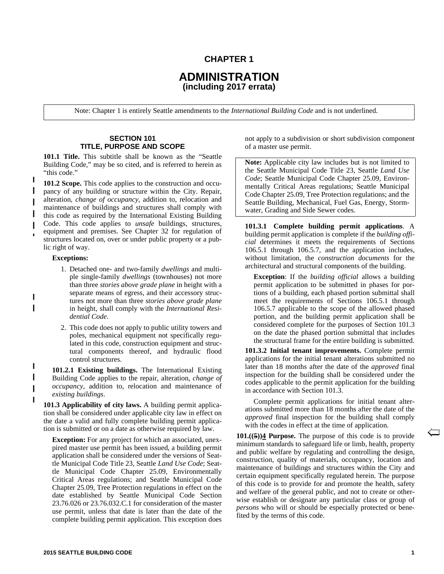# **CHAPTER 1**

# **ADMINISTRATION (including 2017 errata)**

Note: Chapter 1 is entirely Seattle amendments to the *International Building Code* and is not underlined.

### **SECTION 101 TITLE, PURPOSE AND SCOPE**

**101.1 Title.** This subtitle shall be known as the "Seattle Building Code," may be so cited, and is referred to herein as "this code."

**101.2 Scope.** This code applies to the construction and occupancy of any building or structure within the City. Repair, alteration, *change of occupancy*, addition to, relocation and maintenance of buildings and structures shall comply with this code as required by the International Existing Building Code. This code applies to *unsafe* buildings, structures, equipment and premises. See Chapter 32 for regulation of structures located on, over or under public property or a public right of way.

### **Exceptions:**

I

I

 $\blacksquare$ 

- 1. Detached one- and two-family *dwellings* and multiple single-family *dwellings* (townhouses) not more than three *stories above grade plane* in height with a separate means of egress, and their accessory structures not more than three *stories above grade plane* in height, shall comply with the *International Residential Code*.
- 2. This code does not apply to public utility towers and poles, mechanical equipment not specifically regulated in this code, construction equipment and structural components thereof, and hydraulic flood control structures.

**101.2.1 Existing buildings.** The International Existing Building Code applies to the repair, alteration, *change of occupancy*, addition to, relocation and maintenance of *existing buildings*.

**101.3 Applicability of city laws.** A building permit application shall be considered under applicable city law in effect on the date a valid and fully complete building permit application is submitted or on a date as otherwise required by law.

**Exception:** For any project for which an associated, unexpired master use permit has been issued, a building permit application shall be considered under the versions of Seattle Municipal Code Title 23, Seattle *Land Use Code*; Seattle Municipal Code Chapter 25.09, Environmentally Critical Areas regulations; and Seattle Municipal Code Chapter 25.09, Tree Protection regulations in effect on the date established by Seattle Municipal Code Section 23.76.026 or 23.76.032.C.1 for consideration of the master use permit, unless that date is later than the date of the complete building permit application. This exception does

not apply to a subdivision or short subdivision component of a master use permit.

**Note:** Applicable city law includes but is not limited to the Seattle Municipal Code Title 23, Seattle *Land Use Code*; Seattle Municipal Code Chapter 25.09, Environmentally Critical Areas regulations; Seattle Municipal Code Chapter 25.09, Tree Protection regulations; and the Seattle Building, Mechanical, Fuel Gas, Energy, Stormwater, Grading and Side Sewer codes.

**101.3.1 Complete building permit applications**. A building permit application is complete if the *building official* determines it meets the requirements of Sections 106.5.1 through 106.5.7, and the application includes, without limitation, the *construction documents* for the architectural and structural components of the building.

**Exception**: If the *building official* allows a building permit application to be submitted in phases for portions of a building, each phased portion submittal shall meet the requirements of Sections 106.5.1 through 106.5.7 applicable to the scope of the allowed phased portion, and the building permit application shall be considered complete for the purposes of Section 101.3 on the date the phased portion submittal that includes the structural frame for the entire building is submitted.

**101.3.2 Initial tenant improvements.** Complete permit applications for the initial tenant alterations submitted no later than 18 months after the date of the *approved* final inspection for the building shall be considered under the codes applicable to the permit application for the building in accordance with Section 101.3.

Complete permit applications for initial tenant alterations submitted more than 18 months after the date of the *approved* final inspection for the building shall comply with the codes in effect at the time of application.

**101.((5))4 Purpose.** The purpose of this code is to provide minimum standards to safeguard life or limb, health, property and public welfare by regulating and controlling the design, construction, quality of materials, occupancy, location and maintenance of buildings and structures within the City and certain equipment specifically regulated herein. The purpose of this code is to provide for and promote the health, safety and welfare of the general public, and not to create or otherwise establish or designate any particular class or group of *persons* who will or should be especially protected or benefited by the terms of this code.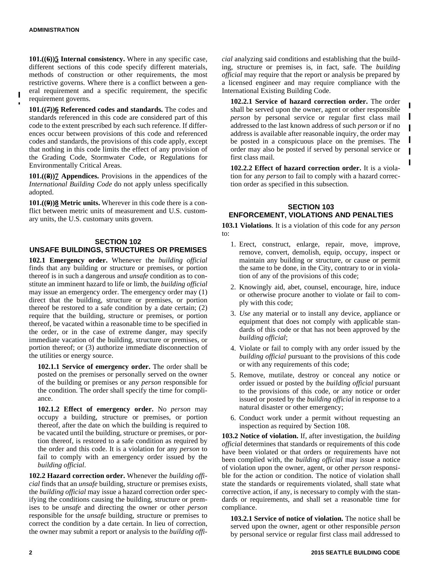**101.((6))5 Internal consistency.** Where in any specific case, different sections of this code specify different materials, methods of construction or other requirements, the most restrictive governs. Where there is a conflict between a general requirement and a specific requirement, the specific requirement governs.

**101.((7))6 Referenced codes and standards.** The codes and standards referenced in this code are considered part of this code to the extent prescribed by each such reference. If differences occur between provisions of this code and referenced codes and standards, the provisions of this code apply, except that nothing in this code limits the effect of any provision of the Grading Code, Stormwater Code, or Regulations for Environmentally Critical Areas.

**101.((8))7 Appendices.** Provisions in the appendices of the *International Building Code* do not apply unless specifically adopted.

**101.((9))8 Metric units.** Wherever in this code there is a conflict between metric units of measurement and U.S. customary units, the U.S. customary units govern.

# **SECTION 102 UNSAFE BUILDINGS, STRUCTURES OR PREMISES**

**102.1 Emergency order.** Whenever the *building official* finds that any building or structure or premises, or portion thereof is in such a dangerous and *unsafe* condition as to constitute an imminent hazard to life or limb, the *building official* may issue an emergency order. The emergency order may (1) direct that the building, structure or premises, or portion thereof be restored to a safe condition by a date certain; (2) require that the building, structure or premises, or portion thereof, be vacated within a reasonable time to be specified in the order, or in the case of extreme danger, may specify immediate vacation of the building, structure or premises, or portion thereof; or (3) authorize immediate disconnection of the utilities or energy source.

**102.1.1 Service of emergency order.** The order shall be posted on the premises or personally served on the owner of the building or premises or any *person* responsible for the condition. The order shall specify the time for compliance.

**102.1.2 Effect of emergency order.** No *person* may occupy a building, structure or premises, or portion thereof, after the date on which the building is required to be vacated until the building, structure or premises, or portion thereof, is restored to a safe condition as required by the order and this code. It is a violation for any *person* to fail to comply with an emergency order issued by the *building official*.

**102.2 Hazard correction order.** Whenever the *building official* finds that an *unsafe* building, structure or premises exists, the *building official* may issue a hazard correction order specifying the conditions causing the building, structure or premises to be *unsafe* and directing the owner or other *person* responsible for the *unsafe* building, structure or premises to correct the condition by a date certain. In lieu of correction, the owner may submit a report or analysis to the *building offi-* *cial* analyzing said conditions and establishing that the building, structure or premises is, in fact, safe. The *building official* may require that the report or analysis be prepared by a licensed engineer and may require compliance with the International Existing Building Code.

**102.2.1 Service of hazard correction order.** The order shall be served upon the owner, agent or other responsible *person* by personal service or regular first class mail addressed to the last known address of such *person* or if no address is available after reasonable inquiry, the order may be posted in a conspicuous place on the premises. The order may also be posted if served by personal service or first class mail.

I

I

 $\blacksquare$ 

**102.2.2 Effect of hazard correction order.** It is a violation for any *person* to fail to comply with a hazard correction order as specified in this subsection.

# **SECTION 103 ENFORCEMENT, VIOLATIONS AND PENALTIES**

**103.1 Violations**. It is a violation of this code for any *person* to:

- 1. Erect, construct, enlarge, repair, move, improve, remove, convert, demolish, equip, occupy, inspect or maintain any building or structure, or cause or permit the same to be done, in the City, contrary to or in violation of any of the provisions of this code;
- 2. Knowingly aid, abet, counsel, encourage, hire, induce or otherwise procure another to violate or fail to comply with this code;
- 3. *Use* any material or to install any device, appliance or equipment that does not comply with applicable standards of this code or that has not been approved by the *building official*;
- 4. Violate or fail to comply with any order issued by the *building official* pursuant to the provisions of this code or with any requirements of this code;
- 5. Remove, mutilate, destroy or conceal any notice or order issued or posted by the *building official* pursuant to the provisions of this code, or any notice or order issued or posted by the *building official* in response to a natural disaster or other emergency;
- 6. Conduct work under a permit without requesting an inspection as required by Section 108.

**103.2 Notice of violation.** If, after investigation, the *building official* determines that standards or requirements of this code have been violated or that orders or requirements have not been complied with, the *building official* may issue a notice of violation upon the owner, agent, or other *person* responsible for the action or condition. The notice of violation shall state the standards or requirements violated, shall state what corrective action, if any, is necessary to comply with the standards or requirements, and shall set a reasonable time for compliance.

**103.2.1 Service of notice of violation.** The notice shall be served upon the owner, agent or other responsible *person* by personal service or regular first class mail addressed to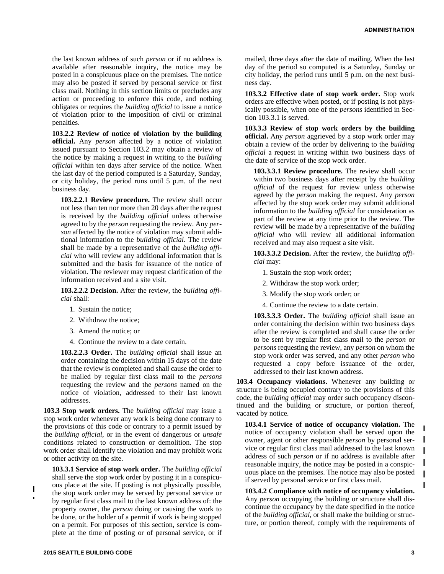the last known address of such *person* or if no address is available after reasonable inquiry, the notice may be posted in a conspicuous place on the premises. The notice may also be posted if served by personal service or first class mail. Nothing in this section limits or precludes any action or proceeding to enforce this code, and nothing obligates or requires the *building official* to issue a notice of violation prior to the imposition of civil or criminal penalties.

**103.2.2 Review of notice of violation by the building official.** Any *person* affected by a notice of violation issued pursuant to Section 103.2 may obtain a review of the notice by making a request in writing to the *building official* within ten days after service of the notice. When the last day of the period computed is a Saturday, Sunday, or city holiday, the period runs until 5 p.m. of the next business day.

**103.2.2.1 Review procedure.** The review shall occur not less than ten nor more than 20 days after the request is received by the *building official* unless otherwise agreed to by the *person* requesting the review. Any *person* affected by the notice of violation may submit additional information to the *building official*. The review shall be made by a representative of the *building official* who will review any additional information that is submitted and the basis for issuance of the notice of violation. The reviewer may request clarification of the information received and a site visit.

**103.2.2.2 Decision.** After the review, the *building official* shall:

- 1. Sustain the notice;
- 2. Withdraw the notice;
- 3. Amend the notice; or
- 4. Continue the review to a date certain.

**103.2.2.3 Order.** The *building official* shall issue an order containing the decision within 15 days of the date that the review is completed and shall cause the order to be mailed by regular first class mail to the *persons* requesting the review and the *persons* named on the notice of violation, addressed to their last known addresses.

**103.3 Stop work orders.** The *building official* may issue a stop work order whenever any work is being done contrary to the provisions of this code or contrary to a permit issued by the *building official*, or in the event of dangerous or *unsafe* conditions related to construction or demolition. The stop work order shall identify the violation and may prohibit work or other activity on the site.

**103.3.1 Service of stop work order.** The *building official* shall serve the stop work order by posting it in a conspicuous place at the site. If posting is not physically possible, the stop work order may be served by personal service or by regular first class mail to the last known address of: the property owner, the *person* doing or causing the work to be done, or the holder of a permit if work is being stopped on a permit. For purposes of this section, service is complete at the time of posting or of personal service, or if

mailed, three days after the date of mailing. When the last day of the period so computed is a Saturday, Sunday or city holiday, the period runs until 5 p.m. on the next business day.

**103.3.2 Effective date of stop work order.** Stop work orders are effective when posted, or if posting is not physically possible, when one of the *persons* identified in Section 103.3.1 is served.

**103.3.3 Review of stop work orders by the building official.** Any *person* aggrieved by a stop work order may obtain a review of the order by delivering to the *building official* a request in writing within two business days of the date of service of the stop work order.

**103.3.3.1 Review procedure.** The review shall occur within two business days after receipt by the *building official* of the request for review unless otherwise agreed by the *person* making the request. Any *person* affected by the stop work order may submit additional information to the *building official* for consideration as part of the review at any time prior to the review. The review will be made by a representative of the *building official* who will review all additional information received and may also request a site visit.

**103.3.3.2 Decision.** After the review, the *building official* may:

- 1. Sustain the stop work order;
- 2. Withdraw the stop work order;
- 3. Modify the stop work order; or
- 4. Continue the review to a date certain.

**103.3.3.3 Order.** The *building official* shall issue an order containing the decision within two business days after the review is completed and shall cause the order to be sent by regular first class mail to the *person* or *persons* requesting the review, any *person* on whom the stop work order was served, and any other *person* who requested a copy before issuance of the order, addressed to their last known address.

**103.4 Occupancy violations.** Whenever any building or structure is being occupied contrary to the provisions of this code, the *building official* may order such occupancy discontinued and the building or structure, or portion thereof, vacated by notice.

**103.4.1 Service of notice of occupancy violation.** The notice of occupancy violation shall be served upon the owner, agent or other responsible *person* by personal service or regular first class mail addressed to the last known address of such *person* or if no address is available after reasonable inquiry, the notice may be posted in a conspicuous place on the premises. The notice may also be posted if served by personal service or first class mail.

**103.4.2 Compliance with notice of occupancy violation.** Any *person* occupying the building or structure shall discontinue the occupancy by the date specified in the notice of the *building official*, or shall make the building or structure, or portion thereof, comply with the requirements of

 $\blacksquare$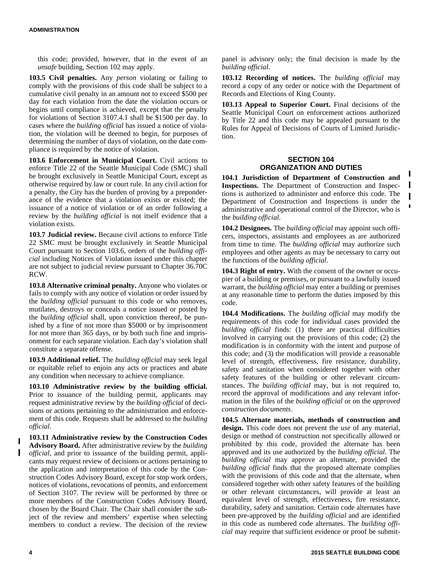this code; provided, however, that in the event of an *unsafe* building, Section 102 may apply.

**103.5 Civil penalties.** Any *person* violating or failing to comply with the provisions of this code shall be subject to a cumulative civil penalty in an amount not to exceed \$500 per day for each violation from the date the violation occurs or begins until compliance is achieved, except that the penalty for violations of Section 3107.4.1 shall be \$1500 per day. In cases where the *building official* has issued a notice of violation, the violation will be deemed to begin, for purposes of determining the number of days of violation, on the date compliance is required by the notice of violation.

**103.6 Enforcement in Municipal Court.** Civil actions to enforce Title 22 of the Seattle Municipal Code (SMC) shall be brought exclusively in Seattle Municipal Court, except as otherwise required by law or court rule. In any civil action for a penalty, the City has the burden of proving by a preponderance of the evidence that a violation exists or existed; the issuance of a notice of violation or of an order following a review by the *building official* is not itself evidence that a violation exists.

**103.7 Judicial review.** Because civil actions to enforce Title 22 SMC must be brought exclusively in Seattle Municipal Court pursuant to Section 103.6, orders of the *building official* including Notices of Violation issued under this chapter are not subject to judicial review pursuant to Chapter 36.70C RCW.

**103.8 Alternative criminal penalty.** Anyone who violates or fails to comply with any notice of violation or order issued by the *building official* pursuant to this code or who removes, mutilates, destroys or conceals a notice issued or posted by the *building official* shall, upon conviction thereof, be punished by a fine of not more than \$5000 or by imprisonment for not more than 365 days, or by both such fine and imprisonment for each separate violation. Each day's violation shall constitute a separate offense.

**103.9 Additional relief.** The *building official* may seek legal or equitable relief to enjoin any acts or practices and abate any condition when necessary to achieve compliance.

**103.10 Administrative review by the building official.** Prior to issuance of the building permit, applicants may request administrative review by the *building official* of decisions or actions pertaining to the administration and enforcement of this code. Requests shall be addressed to the *building official*.

**103.11 Administrative review by the Construction Codes Advisory Board.** After administrative review by the *building official*, and prior to issuance of the building permit, applicants may request review of decisions or actions pertaining to the application and interpretation of this code by the Construction Codes Advisory Board, except for stop work orders, notices of violations, revocations of permits, and enforcement of Section 3107. The review will be performed by three or more members of the Construction Codes Advisory Board, chosen by the Board Chair. The Chair shall consider the subject of the review and members' expertise when selecting members to conduct a review. The decision of the review

panel is advisory only; the final decision is made by the *building official*.

**103.12 Recording of notices.** The *building official* may record a copy of any order or notice with the Department of Records and Elections of King County.

**103.13 Appeal to Superior Court.** Final decisions of the Seattle Municipal Court on enforcement actions authorized by Title 22 and this code may be appealed pursuant to the Rules for Appeal of Decisions of Courts of Limited Jurisdiction.

# **SECTION 104 ORGANIZATION AND DUTIES**

**104.1 Jurisdiction of Department of Construction and Inspections.** The Department of Construction and Inspections is authorized to administer and enforce this code. The Department of Construction and Inspections is under the administrative and operational control of the Director, who is the *building official*.

I

**104.2 Designees.** The *building official* may appoint such officers, inspectors, assistants and employees as are authorized from time to time. The *building official* may authorize such employees and other agents as may be necessary to carry out the functions of the *building official*.

**104.3 Right of entry.** With the consent of the owner or occupier of a building or premises, or pursuant to a lawfully issued warrant, the *building official* may enter a building or premises at any reasonable time to perform the duties imposed by this code.

**104.4 Modifications.** The *building official* may modify the requirements of this code for individual cases provided the *building official* finds: (1) there are practical difficulties involved in carrying out the provisions of this code; (2) the modification is in conformity with the intent and purpose of this code; and (3) the modification will provide a reasonable level of strength, effectiveness, fire resistance, durability, safety and sanitation when considered together with other safety features of the building or other relevant circumstances. The *building official* may, but is not required to, record the approval of modifications and any relevant information in the files of the *building official* or on the *approved construction documents*.

**104.5 Alternate materials, methods of construction and design.** This code does not prevent the *use* of any material*,* design or method of construction not specifically allowed or prohibited by this code, provided the alternate has been approved and its use authorized by the *building official*. The *building official* may approve an alternate, provided the *building official* finds that the proposed alternate complies with the provisions of this code and that the alternate, when considered together with other safety features of the building or other relevant circumstances, will provide at least an equivalent level of strength, effectiveness, fire resistance, durability, safety and sanitation. Certain code alternates have been pre-approved by the *building official* and are identified in this code as numbered code alternates. The *building official* may require that sufficient evidence or proof be submit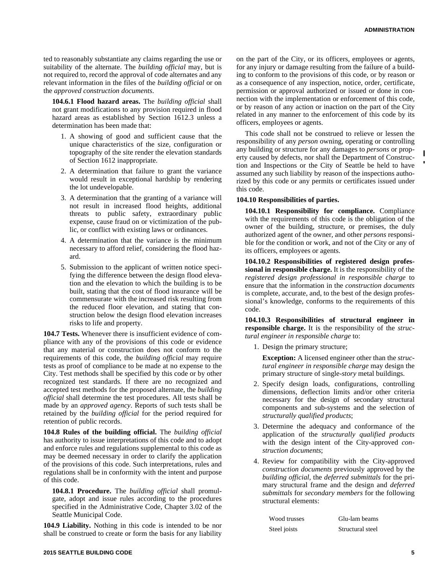ted to reasonably substantiate any claims regarding the use or suitability of the alternate. The *building official* may, but is not required to, record the approval of code alternates and any relevant information in the files of the *building official* or on the *approved construction documents*.

**104.6.1 Flood hazard areas.** The *building official* shall not grant modifications to any provision required in flood hazard areas as established by Section 1612.3 unless a determination has been made that:

- 1. A showing of good and sufficient cause that the unique characteristics of the size, configuration or topography of the site render the elevation standards of Section 1612 inappropriate.
- 2. A determination that failure to grant the variance would result in exceptional hardship by rendering the lot undevelopable.
- 3. A determination that the granting of a variance will not result in increased flood heights, additional threats to public safety, extraordinary public expense, cause fraud on or victimization of the public, or conflict with existing laws or ordinances.
- 4. A determination that the variance is the minimum necessary to afford relief, considering the flood hazard.
- 5. Submission to the applicant of written notice specifying the difference between the design flood elevation and the elevation to which the building is to be built, stating that the cost of flood insurance will be commensurate with the increased risk resulting from the reduced floor elevation, and stating that construction below the design flood elevation increases risks to life and property.

**104.7 Tests.** Whenever there is insufficient evidence of compliance with any of the provisions of this code or evidence that any material or construction does not conform to the requirements of this code, the *building official* may require tests as proof of compliance to be made at no expense to the City. Test methods shall be specified by this code or by other recognized test standards. If there are no recognized and accepted test methods for the proposed alternate, the *building official* shall determine the test procedures. All tests shall be made by an *approved agency*. Reports of such tests shall be retained by the *building official* for the period required for retention of public records.

**104.8 Rules of the building official.** The *building official* has authority to issue interpretations of this code and to adopt and enforce rules and regulations supplemental to this code as may be deemed necessary in order to clarify the application of the provisions of this code. Such interpretations, rules and regulations shall be in conformity with the intent and purpose of this code.

**104.8.1 Procedure.** The *building official* shall promulgate, adopt and issue rules according to the procedures specified in the Administrative Code, Chapter 3.02 of the Seattle Municipal Code.

**104.9 Liability.** Nothing in this code is intended to be nor shall be construed to create or form the basis for any liability

on the part of the City, or its officers, employees or agents, for any injury or damage resulting from the failure of a building to conform to the provisions of this code, or by reason or as a consequence of any inspection, notice, order, certificate, permission or approval authorized or issued or done in connection with the implementation or enforcement of this code, or by reason of any action or inaction on the part of the City related in any manner to the enforcement of this code by its officers, employees or agents.

This code shall not be construed to relieve or lessen the responsibility of any *person* owning, operating or controlling any building or structure for any damages to *persons* or property caused by defects, nor shall the Department of Construction and Inspections or the City of Seattle be held to have assumed any such liability by reason of the inspections authorized by this code or any permits or certificates issued under this code.

### **104.10 Responsibilities of parties.**

**104.10.1 Responsibility for compliance.** Compliance with the requirements of this code is the obligation of the owner of the building, structure, or premises, the duly authorized agent of the owner, and other *persons* responsible for the condition or work, and not of the City or any of its officers, employees or agents.

**104.10.2 Responsibilities of registered design professional in responsible charge.** It is the responsibility of the *registered design professional in responsible charge* to ensure that the information in the *construction documents* is complete, accurate, and, to the best of the design professional's knowledge, conforms to the requirements of this code.

**104.10.3 Responsibilities of structural engineer in responsible charge.** It is the responsibility of the *structural engineer in responsible charge* to:

1. Design the primary structure;

**Exception:** A licensed engineer other than the *structural engineer in responsible charge* may design the primary structure of single-*story* metal buildings.

- 2. Specify design loads, configurations, controlling dimensions, deflection limits and/or other criteria necessary for the design of secondary structural components and sub-systems and the selection of *structurally qualified products*;
- 3. Determine the adequacy and conformance of the application of the *structurally qualified products* with the design intent of the City-approved *construction documents*;
- 4. Review for compatibility with the City-approved *construction documents* previously approved by the *building official*, the *deferred submittals* for the primary structural frame and the design and *deferred submittals* for *secondary members* for the following structural elements:

| Wood trusses | Glu-lam beams    |
|--------------|------------------|
| Steel joists | Structural steel |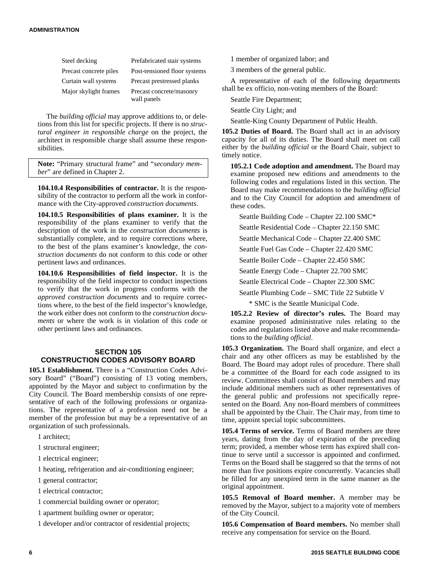| Steel decking          | Prefabricated stair systems             |
|------------------------|-----------------------------------------|
| Precast concrete piles | Post-tensioned floor systems            |
| Curtain wall systems   | Precast prestressed planks              |
| Major skylight frames  | Precast concrete/masonry<br>wall panels |

The *building official* may approve additions to, or deletions from this list for specific projects. If there is no *structural engineer in responsible charge* on the project, the architect in responsible charge shall assume these responsibilities.

**Note:** "Primary structural frame" and "*secondary member*" are defined in Chapter 2.

**104.10.4 Responsibilities of contractor.** It is the responsibility of the contractor to perform all the work in conformance with the City-approved *construction documents*.

**104.10.5 Responsibilities of plans examiner.** It is the responsibility of the plans examiner to verify that the description of the work in the *construction documents* is substantially complete, and to require corrections where, to the best of the plans examiner's knowledge, the *construction documents* do not conform to this code or other pertinent laws and ordinances.

**104.10.6 Responsibilities of field inspector.** It is the responsibility of the field inspector to conduct inspections to verify that the work in progress conforms with the *approved construction documents* and to require corrections where, to the best of the field inspector's knowledge, the work either does not conform to the *construction documents* or where the work is in violation of this code or other pertinent laws and ordinances.

# **SECTION 105 CONSTRUCTION CODES ADVISORY BOARD**

**105.1 Establishment.** There is a "Construction Codes Advisory Board" ("Board") consisting of 13 voting members, appointed by the Mayor and subject to confirmation by the City Council. The Board membership consists of one representative of each of the following professions or organizations. The representative of a profession need not be a member of the profession but may be a representative of an organization of such professionals.

1 architect;

1 structural engineer;

1 electrical engineer;

1 heating, refrigeration and air-conditioning engineer;

1 general contractor;

1 electrical contractor;

1 commercial building owner or operator;

1 apartment building owner or operator;

1 developer and/or contractor of residential projects;

1 member of organized labor; and

3 members of the general public.

A representative of each of the following departments shall be ex officio, non-voting members of the Board:

Seattle Fire Department;

Seattle City Light; and

Seattle-King County Department of Public Health.

**105.2 Duties of Board.** The Board shall act in an advisory capacity for all of its duties. The Board shall meet on call either by the *building official* or the Board Chair, subject to timely notice.

**105.2.1 Code adoption and amendment.** The Board may examine proposed new editions and amendments to the following codes and regulations listed in this section. The Board may make recommendations to the *building official* and to the City Council for adoption and amendment of these codes.

Seattle Building Code – Chapter 22.100 SMC\*

Seattle Residential Code – Chapter 22.150 SMC

Seattle Mechanical Code – Chapter 22.400 SMC

Seattle Fuel Gas Code – Chapter 22.420 SMC Seattle Boiler Code – Chapter 22.450 SMC

Seattle Energy Code – Chapter 22.700 SMC

Seattle Electrical Code – Chapter 22.300 SMC

Seattle Plumbing Code – SMC Title 22 Subtitle V

\* SMC is the Seattle Municipal Code.

**105.2.2 Review of director's rules.** The Board may examine proposed administrative rules relating to the codes and regulations listed above and make recommendations to the *building official*.

**105.3 Organization.** The Board shall organize, and elect a chair and any other officers as may be established by the Board. The Board may adopt rules of procedure. There shall be a committee of the Board for each code assigned to its review. Committees shall consist of Board members and may include additional members such as other representatives of the general public and professions not specifically represented on the Board. Any non-Board members of committees shall be appointed by the Chair. The Chair may, from time to time, appoint special topic subcommittees.

**105.4 Terms of service.** Terms of Board members are three years, dating from the day of expiration of the preceding term; provided, a member whose term has expired shall continue to serve until a successor is appointed and confirmed. Terms on the Board shall be staggered so that the terms of not more than five positions expire concurrently. Vacancies shall be filled for any unexpired term in the same manner as the original appointment.

**105.5 Removal of Board member.** A member may be removed by the Mayor, subject to a majority vote of members of the City Council.

**105.6 Compensation of Board members.** No member shall receive any compensation for service on the Board.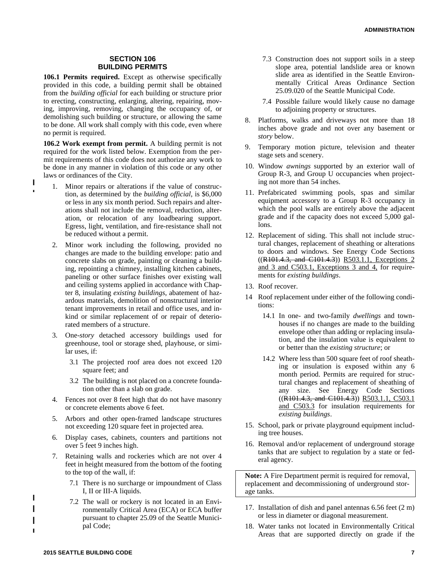# **SECTION 106 BUILDING PERMITS**

**106.1 Permits required.** Except as otherwise specifically provided in this code, a building permit shall be obtained from the *building official* for each building or structure prior to erecting, constructing, enlarging, altering, repairing, moving, improving, removing, changing the occupancy of, or demolishing such building or structure, or allowing the same to be done. All work shall comply with this code, even where no permit is required.

**106.2 Work exempt from permit.** A building permit is not required for the work listed below. Exemption from the permit requirements of this code does not authorize any work to be done in any manner in violation of this code or any other laws or ordinances of the City.

- 1. Minor repairs or alterations if the value of construction, as determined by the *building official*, is \$6,000 or less in any six month period. Such repairs and alterations shall not include the removal, reduction, alteration, or relocation of any loadbearing support. Egress, light, ventilation, and fire-resistance shall not be reduced without a permit.
- 2. Minor work including the following, provided no changes are made to the building envelope: patio and concrete slabs on grade, painting or cleaning a building, repointing a chimney, installing kitchen cabinets, paneling or other surface finishes over existing wall and ceiling systems applied in accordance with Chapter 8, insulating *existing buildings*, abatement of hazardous materials, demolition of nonstructural interior tenant improvements in retail and office uses, and inkind or similar replacement of or repair of deteriorated members of a structure.
- 3. One-*story* detached accessory buildings used for greenhouse, tool or storage shed, playhouse, or similar uses, if:
	- 3.1 The projected roof area does not exceed 120 square feet; and
	- 3.2 The building is not placed on a concrete foundation other than a slab on grade.
- 4. Fences not over 8 feet high that do not have masonry or concrete elements above 6 feet.
- 5. Arbors and other open-framed landscape structures not exceeding 120 square feet in projected area.
- 6. Display cases, cabinets, counters and partitions not over 5 feet 9 inches high.
- 7. Retaining walls and rockeries which are not over 4 feet in height measured from the bottom of the footing to the top of the wall, if:
	- 7.1 There is no surcharge or impoundment of Class I, II or III-A liquids.
	- 7.2 The wall or rockery is not located in an Environmentally Critical Area (ECA) or ECA buffer pursuant to chapter 25.09 of the Seattle Municipal Code;
- 7.3 Construction does not support soils in a steep slope area, potential landslide area or known slide area as identified in the Seattle Environmentally Critical Areas Ordinance Section 25.09.020 of the Seattle Municipal Code.
- 7.4 Possible failure would likely cause no damage to adjoining property or structures.
- 8. Platforms, walks and driveways not more than 18 inches above grade and not over any basement or *story* below.
- 9. Temporary motion picture, television and theater stage sets and scenery.
- 10. Window *awnings* supported by an exterior wall of Group R-3, and Group U occupancies when projecting not more than 54 inches.
- 11. Prefabricated swimming pools, spas and similar equipment accessory to a Group R-3 occupancy in which the pool walls are entirely above the adjacent grade and if the capacity does not exceed 5,000 gallons.
- 12. Replacement of siding. This shall not include structural changes, replacement of sheathing or alterations to doors and windows. See Energy Code Sections ((R101.4.3, and C101.4.3)) R503.1.1, Exceptions 2 and 3 and C503.1, Exceptions 3 and 4, for requirements for *existing buildings*.
- 13. Roof recover.
- 14 Roof replacement under either of the following conditions:
	- 14.1 In one- and two-family *dwellings* and townhouses if no changes are made to the building envelope other than adding or replacing insulation, and the insulation value is equivalent to or better than the *existing structure*; or
	- 14.2 Where less than 500 square feet of roof sheathing or insulation is exposed within any 6 month period. Permits are required for structural changes and replacement of sheathing of any size. See Energy Code Sections  $((R101.4.3, and C101.4.3))$  R503.1.1, C503.1 and C503.3 for insulation requirements for *existing buildings*.
- 15. School, park or private playground equipment including tree houses.
- 16. Removal and/or replacement of underground storage tanks that are subject to regulation by a state or federal agency.

**Note:** A Fire Department permit is required for removal, replacement and decommissioning of underground storage tanks.

- 17. Installation of dish and panel antennas 6.56 feet (2 m) or less in diameter or diagonal measurement.
- 18. Water tanks not located in Environmentally Critical Areas that are supported directly on grade if the

Ī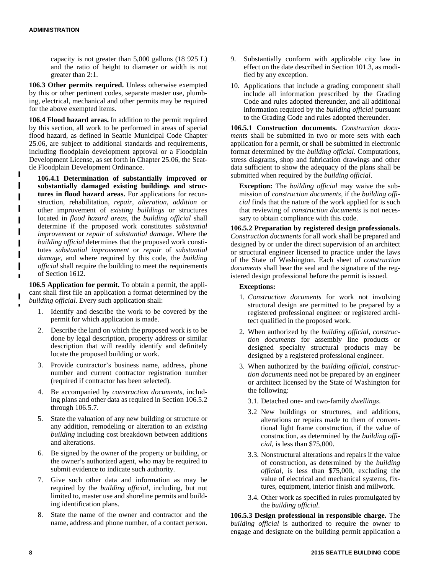capacity is not greater than 5,000 gallons (18 925 L) and the ratio of height to diameter or width is not greater than 2:1.

**106.3 Other permits required.** Unless otherwise exempted by this or other pertinent codes, separate master use, plumbing, electrical, mechanical and other permits may be required for the above exempted items.

**106.4 Flood hazard areas.** In addition to the permit required by this section, all work to be performed in areas of special flood hazard, as defined in Seattle Municipal Code Chapter 25.06, are subject to additional standards and requirements, including floodplain development approval or a Floodplain Development License, as set forth in Chapter 25.06, the Seattle Floodplain Development Ordinance.

**106.4.1 Determination of substantially improved or substantially damaged existing buildings and structures in flood hazard areas.** For applications for reconstruction, rehabilitation, *repair*, *alteration*, *addition* or other improvement of *existing buildings* or structures located in *flood hazard areas*, the *building official* shall determine if the proposed work constitutes *substantial improvement* or *repair* of *substantial damage*. Where the *building official* determines that the proposed work constitutes *substantial improvement* or *repair* of *substantial damage*, and where required by this code, the *building official* shall require the building to meet the requirements of Section 1612.

**106.5 Application for permit.** To obtain a permit, the applicant shall first file an application a format determined by the *building official*. Every such application shall:

- 1. Identify and describe the work to be covered by the permit for which application is made.
- 2. Describe the land on which the proposed work is to be done by legal description, property address or similar description that will readily identify and definitely locate the proposed building or work.
- 3. Provide contractor's business name, address, phone number and current contractor registration number (required if contractor has been selected).
- 4. Be accompanied by *construction documents*, including plans and other data as required in Section 106.5.2 through 106.5.7.
- 5. State the valuation of any new building or structure or any addition, remodeling or alteration to an *existing building* including cost breakdown between additions and alterations.
- 6. Be signed by the owner of the property or building, or the owner's authorized agent, who may be required to submit evidence to indicate such authority.
- 7. Give such other data and information as may be required by the *building official*, including, but not limited to, master use and shoreline permits and building identification plans.
- 8. State the name of the owner and contractor and the name, address and phone number, of a contact *person*.
- 9. Substantially conform with applicable city law in effect on the date described in Section 101.3, as modified by any exception.
- 10. Applications that include a grading component shall include all information prescribed by the Grading Code and rules adopted thereunder, and all additional information required by the *building official* pursuant to the Grading Code and rules adopted thereunder.

**106.5.1 Construction documents.** *Construction documents* shall be submitted in two or more sets with each application for a permit, or shall be submitted in electronic format determined by the *building official*. Computations, stress diagrams, shop and fabrication drawings and other data sufficient to show the adequacy of the plans shall be submitted when required by the *building official*.

**Exception:** The *building official* may waive the submission of *construction documents*, if the *building official* finds that the nature of the work applied for is such that reviewing of *construction documents* is not necessary to obtain compliance with this code.

**106.5.2 Preparation by registered design professionals.** *Construction documents* for all work shall be prepared and designed by or under the direct supervision of an architect or structural engineer licensed to practice under the laws of the State of Washington. Each sheet of *construction documents* shall bear the seal and the signature of the registered design professional before the permit is issued.

### **Exceptions:**

- 1. *Construction documents* for work not involving structural design are permitted to be prepared by a registered professional engineer or registered architect qualified in the proposed work.
- 2. When authorized by the *building official*, *construction documents* for assembly line products or designed specialty structural products may be designed by a registered professional engineer.
- 3. When authorized by the *building official*, *construction documents* need not be prepared by an engineer or architect licensed by the State of Washington for the following:
	- 3.1. Detached one- and two-family *dwellings*.
	- 3.2 New buildings or structures, and additions, alterations or repairs made to them of conventional light frame construction, if the value of construction, as determined by the *building official*, is less than \$75,000.
	- 3.3. Nonstructural alterations and repairs if the value of construction, as determined by the *building official*, is less than \$75,000, excluding the value of electrical and mechanical systems, fixtures, equipment, interior finish and millwork.
	- 3.4. Other work as specified in rules promulgated by the *building official*.

**106.5.3 Design professional in responsible charge.** The *building official* is authorized to require the owner to engage and designate on the building permit application a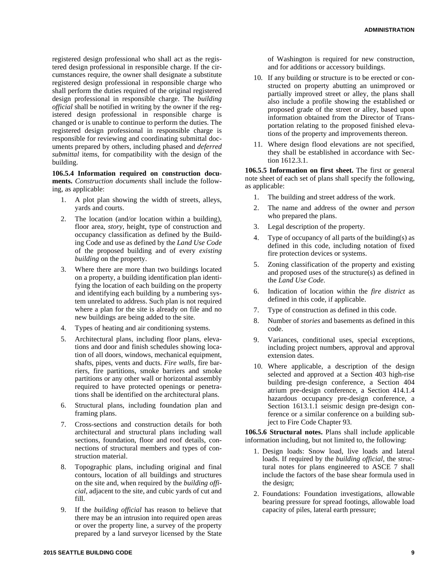registered design professional who shall act as the registered design professional in responsible charge. If the circumstances require, the owner shall designate a substitute registered design professional in responsible charge who shall perform the duties required of the original registered design professional in responsible charge. The *building official* shall be notified in writing by the owner if the registered design professional in responsible charge is changed or is unable to continue to perform the duties. The registered design professional in responsible charge is responsible for reviewing and coordinating submittal documents prepared by others, including phased and *deferred submittal* items, for compatibility with the design of the building.

**106.5.4 Information required on construction documents.** *Construction documents* shall include the following, as applicable:

- 1. A plot plan showing the width of streets, alleys, yards and courts.
- 2. The location (and/or location within a building), floor area, *story*, height, type of construction and occupancy classification as defined by the Building Code and use as defined by the *Land Use Code* of the proposed building and of every *existing building* on the property.
- 3. Where there are more than two buildings located on a property, a building identification plan identifying the location of each building on the property and identifying each building by a numbering system unrelated to address. Such plan is not required where a plan for the site is already on file and no new buildings are being added to the site.
- 4. Types of heating and air conditioning systems.
- 5. Architectural plans, including floor plans, elevations and door and finish schedules showing location of all doors, windows, mechanical equipment, shafts, pipes, vents and ducts. *Fire walls*, fire barriers, fire partitions, smoke barriers and smoke partitions or any other wall or horizontal assembly required to have protected openings or penetrations shall be identified on the architectural plans.
- 6. Structural plans, including foundation plan and framing plans.
- 7. Cross-sections and construction details for both architectural and structural plans including wall sections, foundation, floor and roof details, connections of structural members and types of construction material.
- 8. Topographic plans, including original and final contours, location of all buildings and structures on the site and, when required by the *building official*, adjacent to the site, and cubic yards of cut and fill.
- 9. If the *building official* has reason to believe that there may be an intrusion into required open areas or over the property line, a survey of the property prepared by a land surveyor licensed by the State

of Washington is required for new construction, and for additions or accessory buildings.

- 10. If any building or structure is to be erected or constructed on property abutting an unimproved or partially improved street or alley, the plans shall also include a profile showing the established or proposed grade of the street or alley, based upon information obtained from the Director of Transportation relating to the proposed finished elevations of the property and improvements thereon.
- 11. Where design flood elevations are not specified, they shall be established in accordance with Section 1612.3.1.

**106.5.5 Information on first sheet.** The first or general note sheet of each set of plans shall specify the following, as applicable:

- 1. The building and street address of the work.
- 2. The name and address of the owner and *person* who prepared the plans.
- 3. Legal description of the property.
- 4. Type of occupancy of all parts of the building(s) as defined in this code, including notation of fixed fire protection devices or systems.
- 5. Zoning classification of the property and existing and proposed uses of the structure(s) as defined in the *Land Use Code*.
- 6. Indication of location within the *fire district* as defined in this code, if applicable.
- 7. Type of construction as defined in this code.
- 8. Number of *stories* and basements as defined in this code.
- 9. Variances, conditional uses, special exceptions, including project numbers, approval and approval extension dates.
- 10. Where applicable, a description of the design selected and approved at a Section 403 high-rise building pre-design conference, a Section 404 atrium pre-design conference, a Section 414.1.4 hazardous occupancy pre-design conference, a Section 1613.1.1 seismic design pre-design conference or a similar conference on a building subject to Fire Code Chapter 93.

**106.5.6 Structural notes.** Plans shall include applicable information including, but not limited to, the following:

- 1. Design loads: Snow load, live loads and lateral loads. If required by the *building official*, the structural notes for plans engineered to ASCE 7 shall include the factors of the base shear formula used in the design;
- 2. Foundations: Foundation investigations, allowable bearing pressure for spread footings, allowable load capacity of piles, lateral earth pressure;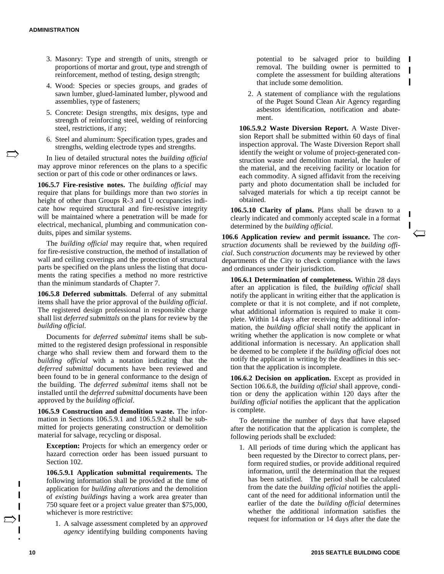- 3. Masonry: Type and strength of units, strength or proportions of mortar and grout, type and strength of reinforcement, method of testing, design strength;
- 4. Wood: Species or species groups, and grades of sawn lumber, glued-laminated lumber, plywood and assemblies, type of fasteners;
- 5. Concrete: Design strengths, mix designs, type and strength of reinforcing steel, welding of reinforcing steel, restrictions, if any;
- 6. Steel and aluminum: Specification types, grades and strengths, welding electrode types and strengths.

In lieu of detailed structural notes the *building official* may approve minor references on the plans to a specific section or part of this code or other ordinances or laws.

**106.5.7 Fire-resistive notes.** The *building official* may require that plans for buildings more than two *stories* in height of other than Groups R-3 and U occupancies indicate how required structural and fire-resistive integrity will be maintained where a penetration will be made for electrical, mechanical, plumbing and communication conduits, pipes and similar systems.

The *building official* may require that, when required for fire-resistive construction, the method of installation of wall and ceiling coverings and the protection of structural parts be specified on the plans unless the listing that documents the rating specifies a method no more restrictive than the minimum standards of Chapter 7.

**106.5.8 Deferred submittals**. Deferral of any submittal items shall have the prior approval of the *building official*. The registered design professional in responsible charge shall list *deferred submittals* on the plans for review by the *building official*.

Documents for *deferred submittal* items shall be submitted to the registered design professional in responsible charge who shall review them and forward them to the *building official* with a notation indicating that the *deferred submittal* documents have been reviewed and been found to be in general conformance to the design of the building. The *deferred submittal* items shall not be installed until the *deferred submittal* documents have been approved by the *building official*.

**106.5.9 Construction and demolition waste.** The information in Sections 106.5.9.1 and 106.5.9.2 shall be submitted for projects generating construction or demolition material for salvage, recycling or disposal.

**Exception:** Projects for which an emergency order or hazard correction order has been issued pursuant to Section 102.

**106.5.9.1 Application submittal requirements.** The following information shall be provided at the time of application for *building alterations* and the demolition of *existing buildings* having a work area greater than 750 square feet or a project value greater than \$75,000, whichever is more restrictive:

1. A salvage assessment completed by an *approved agency* identifying building components having potential to be salvaged prior to building removal. The building owner is permitted to complete the assessment for building alterations that include some demolition.

П

I

2. A statement of compliance with the regulations of the Puget Sound Clean Air Agency regarding asbestos identification, notification and abatement.

**106.5.9.2 Waste Diversion Report.** A Waste Diversion Report shall be submitted within 60 days of final inspection approval. The Waste Diversion Report shall identify the weight or volume of project-generated construction waste and demolition material, the hauler of the material, and the receiving facility or location for each commodity. A signed affidavit from the receiving party and photo documentation shall be included for salvaged materials for which a tip receipt cannot be obtained.

**106.5.10 Clarity of plans.** Plans shall be drawn to a clearly indicated and commonly accepted scale in a format determined by the *building official*.

**106.6 Application review and permit issuance.** The *construction documents* shall be reviewed by the *building official*. Such *construction documents* may be reviewed by other departments of the City to check compliance with the laws and ordinances under their jurisdiction.

**106.6.1 Determination of completeness.** Within 28 days after an application is filed, the *building official* shall notify the applicant in writing either that the application is complete or that it is not complete, and if not complete, what additional information is required to make it complete. Within 14 days after receiving the additional information, the *building official* shall notify the applicant in writing whether the application is now complete or what additional information is necessary. An application shall be deemed to be complete if the *building official* does not notify the applicant in writing by the deadlines in this section that the application is incomplete.

**106.6.2 Decision on application.** Except as provided in Section 106.6.8, the *building official* shall approve, condition or deny the application within 120 days after the *building official* notifies the applicant that the application is complete.

To determine the number of days that have elapsed after the notification that the application is complete, the following periods shall be excluded:

1. All periods of time during which the applicant has been requested by the Director to correct plans, perform required studies, or provide additional required information, until the determination that the request has been satisfied. The period shall be calculated from the date the *building official* notifies the applicant of the need for additional information until the earlier of the date the *building official* determines whether the additional information satisfies the request for information or 14 days after the date the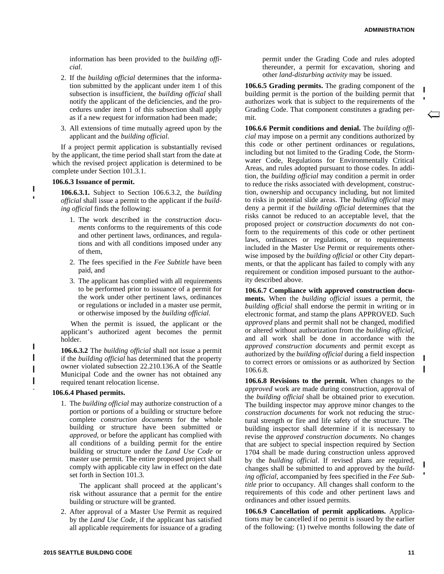information has been provided to the *building official*.

- 2. If the *building official* determines that the information submitted by the applicant under item 1 of this subsection is insufficient, the *building official* shall notify the applicant of the deficiencies, and the procedures under item 1 of this subsection shall apply as if a new request for information had been made;
- 3. All extensions of time mutually agreed upon by the applicant and the *building official*.

If a project permit application is substantially revised by the applicant, the time period shall start from the date at which the revised project application is determined to be complete under Section 101.3.1.

#### **106.6.3 Issuance of permit.**

ι

I

**106.6.3.1.** Subject to Section 106.6.3.2, the *building official* shall issue a permit to the applicant if the *building official* finds the following:

- 1. The work described in the *construction documents* conforms to the requirements of this code and other pertinent laws, ordinances, and regulations and with all conditions imposed under any of them,
- 2. The fees specified in the *Fee Subtitle* have been paid, and
- 3. The applicant has complied with all requirements to be performed prior to issuance of a permit for the work under other pertinent laws, ordinances or regulations or included in a master use permit, or otherwise imposed by the *building official*.

When the permit is issued, the applicant or the applicant's authorized agent becomes the permit holder.

**106.6.3.2** The *building official* shall not issue a permit if the *building official* has determined that the property owner violated subsection 22.210.136.A of the Seattle Municipal Code and the owner has not obtained any required tenant relocation license.

### **106.6.4 Phased permits.**

1. The *building official* may authorize construction of a portion or portions of a building or structure before complete *construction documents* for the whole building or structure have been submitted or *approved*, or before the applicant has complied with all conditions of a building permit for the entire building or structure under the *Land Use Code* or master use permit. The entire proposed project shall comply with applicable city law in effect on the date set forth in Section 101.3.

The applicant shall proceed at the applicant's risk without assurance that a permit for the entire building or structure will be granted.

2. After approval of a Master Use Permit as required by the *Land Use Code*, if the applicant has satisfied all applicable requirements for issuance of a grading permit under the Grading Code and rules adopted thereunder, a permit for excavation, shoring and other *land-disturbing activity* may be issued.

**106.6.5 Grading permits.** The grading component of the building permit is the portion of the building permit that authorizes work that is subject to the requirements of the Grading Code. That component constitutes a grading permit.

**106.6.6 Permit conditions and denial.** The *building official* may impose on a permit any conditions authorized by this code or other pertinent ordinances or regulations, including but not limited to the Grading Code, the Stormwater Code, Regulations for Environmentally Critical Areas, and rules adopted pursuant to those codes. In addition, the *building official* may condition a permit in order to reduce the risks associated with development, construction, ownership and occupancy including, but not limited to risks in potential slide areas. The *building official* may deny a permit if the *building official* determines that the risks cannot be reduced to an acceptable level, that the proposed project or *construction documents* do not conform to the requirements of this code or other pertinent laws, ordinances or regulations, or to requirements included in the Master Use Permit or requirements otherwise imposed by the *building official* or other City departments, or that the applicant has failed to comply with any requirement or condition imposed pursuant to the authority described above.

**106.6.7 Compliance with approved construction documents.** When the *building official* issues a permit, the *building official* shall endorse the permit in writing or in electronic format, and stamp the plans APPROVED. Such *approved* plans and permit shall not be changed, modified or altered without authorization from the *building official*, and all work shall be done in accordance with the *approved construction documents* and permit except as authorized by the *building official* during a field inspection to correct errors or omissions or as authorized by Section 106.6.8.

**106.6.8 Revisions to the permit.** When changes to the *approved* work are made during construction, approval of the *building official* shall be obtained prior to execution. The building inspector may approve minor changes to the *construction documents* for work not reducing the structural strength or fire and life safety of the structure. The building inspector shall determine if it is necessary to revise the *approved construction documents*. No changes that are subject to special inspection required by Section 1704 shall be made during construction unless approved by the *building official*. If revised plans are required, changes shall be submitted to and approved by the *building official*, accompanied by fees specified in the *Fee Subtitle* prior to occupancy. All changes shall conform to the requirements of this code and other pertinent laws and ordinances and other issued permits.

**106.6.9 Cancellation of permit applications.** Applications may be cancelled if no permit is issued by the earlier of the following: (1) twelve months following the date of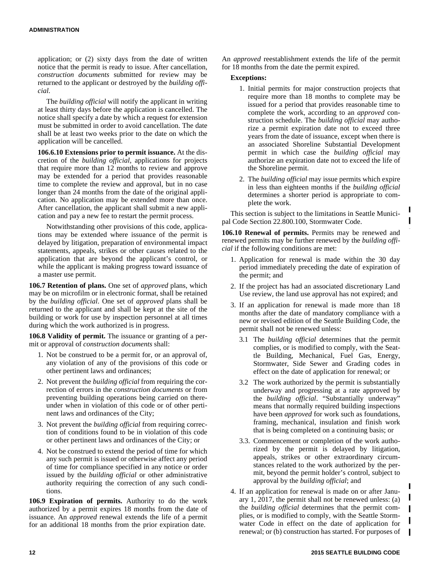application; or (2) sixty days from the date of written notice that the permit is ready to issue. After cancellation, *construction documents* submitted for review may be returned to the applicant or destroyed by the *building official*.

The *building official* will notify the applicant in writing at least thirty days before the application is cancelled. The notice shall specify a date by which a request for extension must be submitted in order to avoid cancellation. The date shall be at least two weeks prior to the date on which the application will be cancelled.

**106.6.10 Extensions prior to permit issuance.** At the discretion of the *building official*, applications for projects that require more than 12 months to review and approve may be extended for a period that provides reasonable time to complete the review and approval, but in no case longer than 24 months from the date of the original application. No application may be extended more than once. After cancellation, the applicant shall submit a new application and pay a new fee to restart the permit process.

Notwithstanding other provisions of this code, applications may be extended where issuance of the permit is delayed by litigation, preparation of environmental impact statements, appeals, strikes or other causes related to the application that are beyond the applicant's control, or while the applicant is making progress toward issuance of a master use permit.

**106.7 Retention of plans.** One set of *approved* plans, which may be on microfilm or in electronic format, shall be retained by the *building official*. One set of *approved* plans shall be returned to the applicant and shall be kept at the site of the building or work for use by inspection personnel at all times during which the work authorized is in progress.

**106.8 Validity of permit.** The issuance or granting of a permit or approval of *construction documents* shall:

- 1. Not be construed to be a permit for, or an approval of, any violation of any of the provisions of this code or other pertinent laws and ordinances;
- 2. Not prevent the *building official* from requiring the correction of errors in the *construction documents* or from preventing building operations being carried on thereunder when in violation of this code or of other pertinent laws and ordinances of the City;
- 3. Not prevent the *building official* from requiring correction of conditions found to be in violation of this code or other pertinent laws and ordinances of the City; or
- 4. Not be construed to extend the period of time for which any such permit is issued or otherwise affect any period of time for compliance specified in any notice or order issued by the *building official* or other administrative authority requiring the correction of any such conditions.

**106.9 Expiration of permits.** Authority to do the work authorized by a permit expires 18 months from the date of issuance. An *approved* renewal extends the life of a permit for an additional 18 months from the prior expiration date.

An *approved* reestablishment extends the life of the permit for 18 months from the date the permit expired.

### **Exceptions:**

- 1. Initial permits for major construction projects that require more than 18 months to complete may be issued for a period that provides reasonable time to complete the work, according to an *approved* construction schedule. The *building official* may authorize a permit expiration date not to exceed three years from the date of issuance, except when there is an associated Shoreline Substantial Development permit in which case the *building official* may authorize an expiration date not to exceed the life of the Shoreline permit.
- 2. The *building official* may issue permits which expire in less than eighteen months if the *building official* determines a shorter period is appropriate to complete the work.

 $\blacksquare$ 

This section is subject to the limitations in Seattle Municipal Code Section 22.800.100, Stormwater Code.

**106.10 Renewal of permits.** Permits may be renewed and renewed permits may be further renewed by the *building official* if the following conditions are met:

- 1. Application for renewal is made within the 30 day period immediately preceding the date of expiration of the permit; and
- 2. If the project has had an associated discretionary Land Use review, the land use approval has not expired; and
- 3. If an application for renewal is made more than 18 months after the date of mandatory compliance with a new or revised edition of the Seattle Building Code, the permit shall not be renewed unless:
	- 3.1 The *building official* determines that the permit complies, or is modified to comply, with the Seattle Building, Mechanical, Fuel Gas, Energy, Stormwater, Side Sewer and Grading codes in effect on the date of application for renewal; or
	- 3.2 The work authorized by the permit is substantially underway and progressing at a rate approved by the *building official*. "Substantially underway" means that normally required building inspections have been *approved* for work such as foundations, framing, mechanical, insulation and finish work that is being completed on a continuing basis; or
	- 3.3. Commencement or completion of the work authorized by the permit is delayed by litigation, appeals, strikes or other extraordinary circumstances related to the work authorized by the permit, beyond the permit holder's control, subject to approval by the *building official*; and
- 4. If an application for renewal is made on or after January 1, 2017, the permit shall not be renewed unless: (a) the *building official* determines that the permit complies, or is modified to comply, with the Seattle Stormwater Code in effect on the date of application for renewal; or (b) construction has started. For purposes of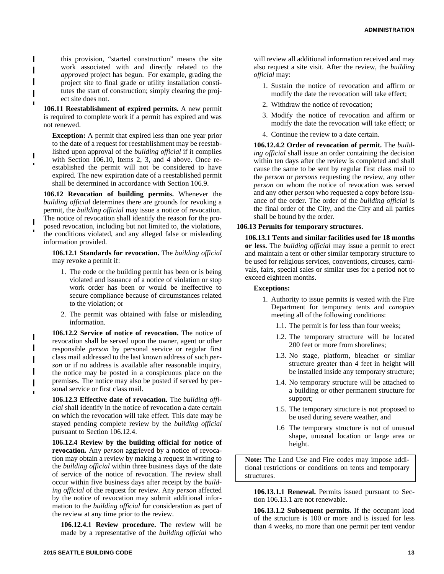this provision, "started construction" means the site work associated with and directly related to the *approved* project has begun. For example, grading the project site to final grade or utility installation constitutes the start of construction; simply clearing the project site does not.

Π

 $\blacksquare$ 

Ī

**106.11 Reestablishment of expired permits.** A new permit is required to complete work if a permit has expired and was not renewed.

**Exception:** A permit that expired less than one year prior to the date of a request for reestablishment may be reestablished upon approval of the *building official* if it complies with Section 106.10, Items 2, 3, and 4 above. Once reestablished the permit will not be considered to have expired. The new expiration date of a reestablished permit shall be determined in accordance with Section 106.9.

**106.12 Revocation of building permits.** Whenever the *building official* determines there are grounds for revoking a permit, the *building official* may issue a notice of revocation. The notice of revocation shall identify the reason for the pro-

 $\blacksquare$ posed revocation, including but not limited to, the violations, the conditions violated, and any alleged false or misleading information provided.

**106.12.1 Standards for revocation.** The *building official* may revoke a permit if:

- 1. The code or the building permit has been or is being violated and issuance of a notice of violation or stop work order has been or would be ineffective to secure compliance because of circumstances related to the violation; or
- 2. The permit was obtained with false or misleading information.

**106.12.2 Service of notice of revocation.** The notice of revocation shall be served upon the owner, agent or other responsible *person* by personal service or regular first class mail addressed to the last known address of such *person* or if no address is available after reasonable inquiry, the notice may be posted in a conspicuous place on the premises. The notice may also be posted if served by personal service or first class mail.

**106.12.3 Effective date of revocation.** The *building official* shall identify in the notice of revocation a date certain on which the revocation will take effect. This date may be stayed pending complete review by the *building official* pursuant to Section 106.12.4.

**106.12.4 Review by the building official for notice of revocation.** Any *person* aggrieved by a notice of revocation may obtain a review by making a request in writing to the *building official* within three business days of the date of service of the notice of revocation. The review shall occur within five business days after receipt by the *building official* of the request for review. Any *person* affected by the notice of revocation may submit additional information to the *building official* for consideration as part of the review at any time prior to the review.

**106.12.4.1 Review procedure.** The review will be made by a representative of the *building official* who

will review all additional information received and may also request a site visit. After the review, the *building official* may:

- 1. Sustain the notice of revocation and affirm or modify the date the revocation will take effect;
- 2. Withdraw the notice of revocation;
- 3. Modify the notice of revocation and affirm or modify the date the revocation will take effect; or
- 4. Continue the review to a date certain.

**106.12.4.2 Order of revocation of permit.** The *building official* shall issue an order containing the decision within ten days after the review is completed and shall cause the same to be sent by regular first class mail to the *person* or *persons* requesting the review, any other *person* on whom the notice of revocation was served and any other *person* who requested a copy before issuance of the order. The order of the *building official* is the final order of the City, and the City and all parties shall be bound by the order.

### **106.13 Permits for temporary structures.**

**106.13.1 Tents and similar facilities used for 18 months or less.** The *building official* may issue a permit to erect and maintain a tent or other similar temporary structure to be used for religious services, conventions, circuses, carnivals, fairs, special sales or similar uses for a period not to exceed eighteen months.

### **Exceptions:**

- 1. Authority to issue permits is vested with the Fire Department for temporary tents and *canopies* meeting all of the following conditions:
	- 1.1. The permit is for less than four weeks;
	- 1.2. The temporary structure will be located 200 feet or more from shorelines;
	- 1.3. No stage, platform, bleacher or similar structure greater than 4 feet in height will be installed inside any temporary structure;
	- 1.4. No temporary structure will be attached to a building or other permanent structure for support;
	- 1.5. The temporary structure is not proposed to be used during severe weather, and
	- 1.6 The temporary structure is not of unusual shape, unusual location or large area or height.

**Note:** The Land Use and Fire codes may impose additional restrictions or conditions on tents and temporary structures.

**106.13.1.1 Renewal.** Permits issued pursuant to Section 106.13.1 are not renewable.

**106.13.1.2 Subsequent permits.** If the occupant load of the structure is 100 or more and is issued for less than 4 weeks, no more than one permit per tent vendor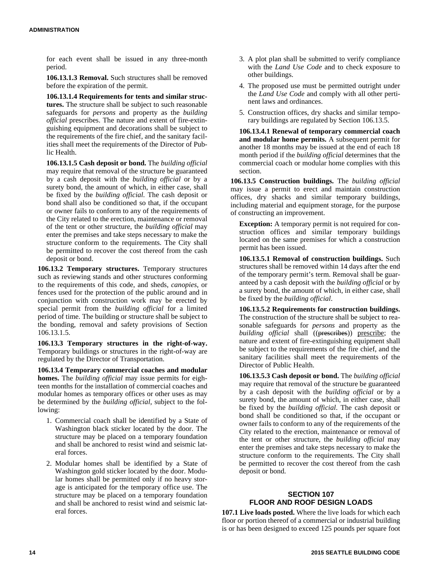for each event shall be issued in any three-month period.

**106.13.1.3 Removal.** Such structures shall be removed before the expiration of the permit.

**106.13.1.4 Requirements for tents and similar structures.** The structure shall be subject to such reasonable safeguards for *persons* and property as the *building official* prescribes. The nature and extent of fire-extinguishing equipment and decorations shall be subject to the requirements of the fire chief, and the sanitary facilities shall meet the requirements of the Director of Public Health.

**106.13.1.5 Cash deposit or bond.** The *building official* may require that removal of the structure be guaranteed by a cash deposit with the *building official* or by a surety bond, the amount of which, in either case, shall be fixed by the *building official*. The cash deposit or bond shall also be conditioned so that, if the occupant or owner fails to conform to any of the requirements of the City related to the erection, maintenance or removal of the tent or other structure, the *building official* may enter the premises and take steps necessary to make the structure conform to the requirements. The City shall be permitted to recover the cost thereof from the cash deposit or bond.

**106.13.2 Temporary structures.** Temporary structures such as reviewing stands and other structures conforming to the requirements of this code, and sheds, *canopies*, or fences used for the protection of the public around and in conjunction with construction work may be erected by special permit from the *building official* for a limited period of time. The building or structure shall be subject to the bonding, removal and safety provisions of Section 106.13.1.5.

**106.13.3 Temporary structures in the right-of-way.** Temporary buildings or structures in the right-of-way are regulated by the Director of Transportation.

**106.13.4 Temporary commercial coaches and modular homes.** The *building official* may issue permits for eighteen months for the installation of commercial coaches and modular homes as temporary offices or other uses as may be determined by the *building official*, subject to the following:

- 1. Commercial coach shall be identified by a State of Washington black sticker located by the door. The structure may be placed on a temporary foundation and shall be anchored to resist wind and seismic lateral forces.
- 2. Modular homes shall be identified by a State of Washington gold sticker located by the door. Modular homes shall be permitted only if no heavy storage is anticipated for the temporary office use. The structure may be placed on a temporary foundation and shall be anchored to resist wind and seismic lateral forces.
- 3. A plot plan shall be submitted to verify compliance with the *Land Use Code* and to check exposure to other buildings.
- 4. The proposed use must be permitted outright under the *Land Use Code* and comply with all other pertinent laws and ordinances.
- 5. Construction offices, dry shacks and similar temporary buildings are regulated by Section 106.13.5.

**106.13.4.1 Renewal of temporary commercial coach and modular home permits.** A subsequent permit for another 18 months may be issued at the end of each 18 month period if the *building official* determines that the commercial coach or modular home complies with this section.

**106.13.5 Construction buildings.** The *building official* may issue a permit to erect and maintain construction offices, dry shacks and similar temporary buildings, including material and equipment storage, for the purpose of constructing an improvement.

**Exception:** A temporary permit is not required for construction offices and similar temporary buildings located on the same premises for which a construction permit has been issued.

**106.13.5.1 Removal of construction buildings.** Such structures shall be removed within 14 days after the end of the temporary permit's term. Removal shall be guaranteed by a cash deposit with the *building official* or by a surety bond, the amount of which, in either case, shall be fixed by the *building official*.

**106.13.5.2 Requirements for construction buildings.** The construction of the structure shall be subject to reasonable safeguards for *persons* and property as the *building official* shall ((prescribes)) prescribe; the nature and extent of fire-extinguishing equipment shall be subject to the requirements of the fire chief, and the sanitary facilities shall meet the requirements of the Director of Public Health.

**106.13.5.3 Cash deposit or bond.** The *building official* may require that removal of the structure be guaranteed by a cash deposit with the *building official* or by a surety bond, the amount of which, in either case, shall be fixed by the *building official*. The cash deposit or bond shall be conditioned so that, if the occupant or owner fails to conform to any of the requirements of the City related to the erection, maintenance or removal of the tent or other structure, the *building official* may enter the premises and take steps necessary to make the structure conform to the requirements. The City shall be permitted to recover the cost thereof from the cash deposit or bond.

# **SECTION 107 FLOOR AND ROOF DESIGN LOADS**

**107.1 Live loads posted.** Where the live loads for which each floor or portion thereof of a commercial or industrial building is or has been designed to exceed 125 pounds per square foot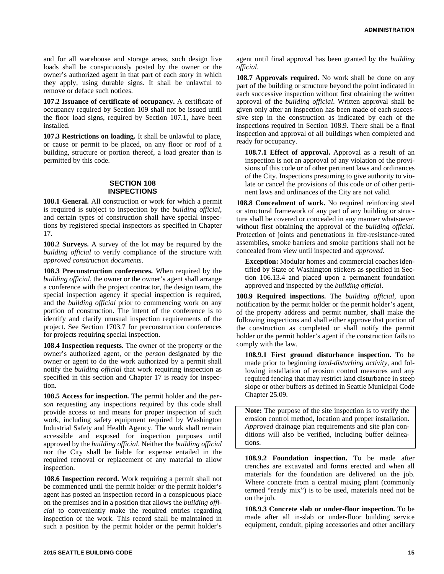and for all warehouse and storage areas, such design live loads shall be conspicuously posted by the owner or the owner's authorized agent in that part of each *story* in which they apply, using durable signs. It shall be unlawful to remove or deface such notices.

**107.2 Issuance of certificate of occupancy.** A certificate of occupancy required by Section 109 shall not be issued until the floor load signs, required by Section 107.1, have been installed.

**107.3 Restrictions on loading.** It shall be unlawful to place, or cause or permit to be placed, on any floor or roof of a building, structure or portion thereof, a load greater than is permitted by this code.

### **SECTION 108 INSPECTIONS**

**108.1 General.** All construction or work for which a permit is required is subject to inspection by the *building official*, and certain types of construction shall have special inspections by registered special inspectors as specified in Chapter 17.

**108.2 Surveys.** A survey of the lot may be required by the *building official* to verify compliance of the structure with *approved construction documents*.

**108.3 Preconstruction conferences.** When required by the *building official*, the owner or the owner's agent shall arrange a conference with the project contractor, the design team, the special inspection agency if special inspection is required, and the *building official* prior to commencing work on any portion of construction. The intent of the conference is to identify and clarify unusual inspection requirements of the project. See Section 1703.7 for preconstruction conferences for projects requiring special inspection.

**108.4 Inspection requests.** The owner of the property or the owner's authorized agent, or the *person* designated by the owner or agent to do the work authorized by a permit shall notify the *building official* that work requiring inspection as specified in this section and Chapter 17 is ready for inspection.

**108.5 Access for inspection.** The permit holder and the *person* requesting any inspections required by this code shall provide access to and means for proper inspection of such work, including safety equipment required by Washington Industrial Safety and Health Agency. The work shall remain accessible and exposed for inspection purposes until approved by the *building official*. Neither the *building official* nor the City shall be liable for expense entailed in the required removal or replacement of any material to allow inspection.

**108.6 Inspection record.** Work requiring a permit shall not be commenced until the permit holder or the permit holder's agent has posted an inspection record in a conspicuous place on the premises and in a position that allows the *building official* to conveniently make the required entries regarding inspection of the work. This record shall be maintained in such a position by the permit holder or the permit holder's

agent until final approval has been granted by the *building official*.

**108.7 Approvals required.** No work shall be done on any part of the building or structure beyond the point indicated in each successive inspection without first obtaining the written approval of the *building official*. Written approval shall be given only after an inspection has been made of each successive step in the construction as indicated by each of the inspections required in Section 108.9. There shall be a final inspection and approval of all buildings when completed and ready for occupancy.

**108.7.1 Effect of approval.** Approval as a result of an inspection is not an approval of any violation of the provisions of this code or of other pertinent laws and ordinances of the City. Inspections presuming to give authority to violate or cancel the provisions of this code or of other pertinent laws and ordinances of the City are not valid.

**108.8 Concealment of work.** No required reinforcing steel or structural framework of any part of any building or structure shall be covered or concealed in any manner whatsoever without first obtaining the approval of the *building official*. Protection of joints and penetrations in fire-resistance-rated assemblies, smoke barriers and smoke partitions shall not be concealed from view until inspected and *approved*.

**Exception:** Modular homes and commercial coaches identified by State of Washington stickers as specified in Section 106.13.4 and placed upon a permanent foundation approved and inspected by the *building official*.

**108.9 Required inspections.** The *building official*, upon notification by the permit holder or the permit holder's agent, of the property address and permit number, shall make the following inspections and shall either approve that portion of the construction as completed or shall notify the permit holder or the permit holder's agent if the construction fails to comply with the law.

**108.9.1 First ground disturbance inspection.** To be made prior to beginning *land-disturbing activity*, and following installation of erosion control measures and any required fencing that may restrict land disturbance in steep slope or other buffers as defined in Seattle Municipal Code Chapter 25.09.

**Note:** The purpose of the site inspection is to verify the erosion control method, location and proper installation. *Approved* drainage plan requirements and site plan conditions will also be verified, including buffer delineations.

**108.9.2 Foundation inspection.** To be made after trenches are excavated and forms erected and when all materials for the foundation are delivered on the job. Where concrete from a central mixing plant (commonly termed "ready mix") is to be used, materials need not be on the job.

**108.9.3 Concrete slab or under-floor inspection.** To be made after all in-slab or under-floor building service equipment, conduit, piping accessories and other ancillary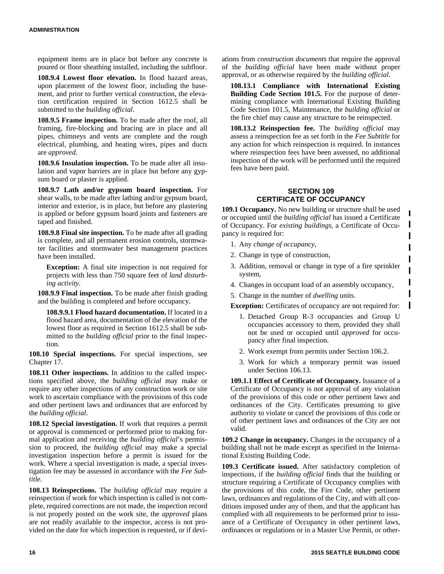equipment items are in place but before any concrete is poured or floor sheathing installed, including the subfloor.

**108.9.4 Lowest floor elevation.** In flood hazard areas, upon placement of the lowest floor, including the basement, and prior to further vertical construction, the elevation certification required in Section 1612.5 shall be submitted to the *building official*.

**108.9.5 Frame inspection.** To be made after the roof, all framing, fire-blocking and bracing are in place and all pipes, chimneys and vents are complete and the rough electrical, plumbing, and heating wires, pipes and ducts are *approved*.

**108.9.6 Insulation inspection.** To be made after all insulation and vapor barriers are in place but before any gypsum board or plaster is applied.

**108.9.7 Lath and/or gypsum board inspection.** For shear walls, to be made after lathing and/or gypsum board, interior and exterior, is in place, but before any plastering is applied or before gypsum board joints and fasteners are taped and finished.

**108.9.8 Final site inspection.** To be made after all grading is complete, and all permanent erosion controls, stormwater facilities and stormwater best management practices have been installed.

**Exception:** A final site inspection is not required for projects with less than 750 square feet of *land disturbing activity*.

**108.9.9 Final inspection.** To be made after finish grading and the building is completed and before occupancy.

**108.9.9.1 Flood hazard documentation.** If located in a flood hazard area, documentation of the elevation of the lowest floor as required in Section 1612.5 shall be submitted to the *building official* prior to the final inspection.

**108.10 Special inspections.** For special inspections, see Chapter 17.

**108.11 Other inspections.** In addition to the called inspections specified above, the *building official* may make or require any other inspections of any construction work or site work to ascertain compliance with the provisions of this code and other pertinent laws and ordinances that are enforced by the *building official*.

**108.12 Special investigation.** If work that requires a permit or approval is commenced or performed prior to making formal application and receiving the *building official*'s permission to proceed, the *building official* may make a special investigation inspection before a permit is issued for the work. Where a special investigation is made, a special investigation fee may be assessed in accordance with the *Fee Subtitle*.

**108.13 Reinspections.** The *building official* may require a reinspection if work for which inspection is called is not complete, required corrections are not made, the inspection record is not properly posted on the work site, the *approved* plans are not readily available to the inspector, access is not provided on the date for which inspection is requested, or if deviations from *construction documents* that require the approval of the *building official* have been made without proper approval, or as otherwise required by the *building official*.

**108.13.1 Compliance with International Existing Building Code Section 101.5.** For the purpose of determining compliance with International Existing Building Code Section 101.5, Maintenance, the *building official* or the fire chief may cause any structure to be reinspected.

**108.13.2 Reinspection fee.** The *building official* may assess a reinspection fee as set forth in the *Fee Subtitle* for any action for which reinspection is required. In instances where reinspection fees have been assessed, no additional inspection of the work will be performed until the required fees have been paid.

# **SECTION 109 CERTIFICATE OF OCCUPANCY**

**109.1 Occupancy.** No new building or structure shall be used or occupied until the *building official* has issued a Certificate of Occupancy. For *existing buildings*, a Certificate of Occupancy is required for:

 $\blacksquare$  $\mathbf{I}$ 

- 1. Any *change of occupancy*,
- 2. Change in type of construction,
- 3. Addition, removal or change in type of a fire sprinkler system,
- 4. Changes in occupant load of an assembly occupancy,
- 5. Change in the number of *dwelling* units.

**Exception:** Certificates of occupancy are not required for:

- 1. Detached Group R-3 occupancies and Group U occupancies accessory to them, provided they shall not be used or occupied until *approved* for occupancy after final inspection.
- 2. Work exempt from permits under Section 106.2.
- 3. Work for which a temporary permit was issued under Section 106.13.

**109.1.1 Effect of Certificate of Occupancy.** Issuance of a Certificate of Occupancy is not approval of any violation of the provisions of this code or other pertinent laws and ordinances of the City. Certificates presuming to give authority to violate or cancel the provisions of this code or of other pertinent laws and ordinances of the City are not valid.

**109.2 Change in occupancy.** Changes in the occupancy of a building shall not be made except as specified in the International Existing Building Code.

**109.3 Certificate issued.** After satisfactory completion of inspections, if the *building official* finds that the building or structure requiring a Certificate of Occupancy complies with the provisions of this code, the Fire Code, other pertinent laws, ordinances and regulations of the City, and with all conditions imposed under any of them, and that the applicant has complied with all requirements to be performed prior to issuance of a Certificate of Occupancy in other pertinent laws, ordinances or regulations or in a Master Use Permit, or other